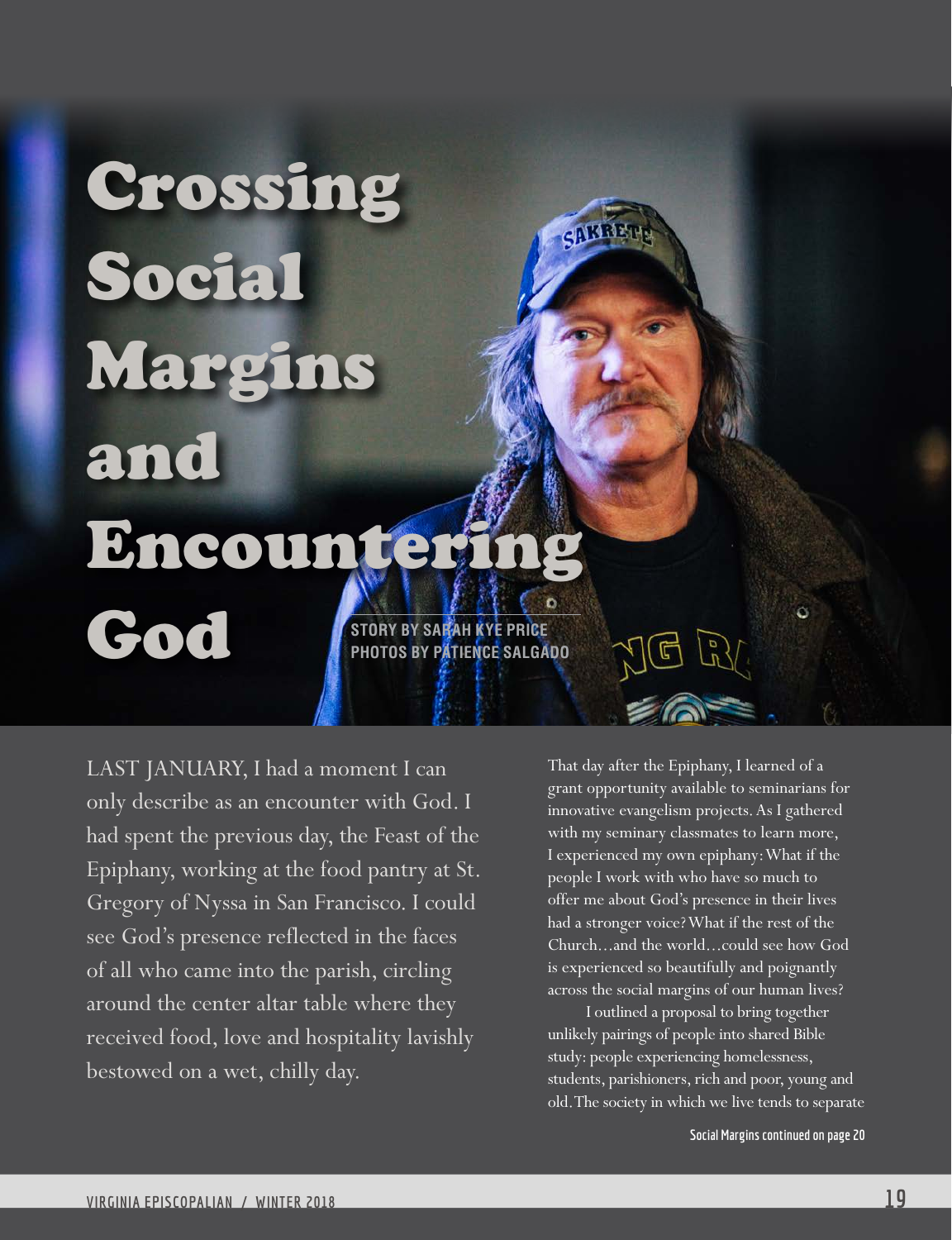# Crossing **NYREP** Social Margins and Encounteri God **STORY BY SARAH KYE PRICE PHOTOS BY PATIENCE SALGADO**

LAST JANUARY, I had a moment I can only describe as an encounter with God. I had spent the previous day, the Feast of the Epiphany, working at the food pantry at St. Gregory of Nyssa in San Francisco. I could see God's presence reflected in the faces of all who came into the parish, circling around the center altar table where they received food, love and hospitality lavishly bestowed on a wet, chilly day.

That day after the Epiphany, I learned of a grant opportunity available to seminarians for innovative evangelism projects. As I gathered with my seminary classmates to learn more, I experienced my own epiphany: What if the people I work with who have so much to offer me about God's presence in their lives had a stronger voice? What if the rest of the Church...and the world...could see how God is experienced so beautifully and poignantly across the social margins of our human lives?

I outlined a proposal to bring together unlikely pairings of people into shared Bible study: people experiencing homelessness, students, parishioners, rich and poor, young and old. The society in which we live tends to separate

**Social Margins continued on page 20**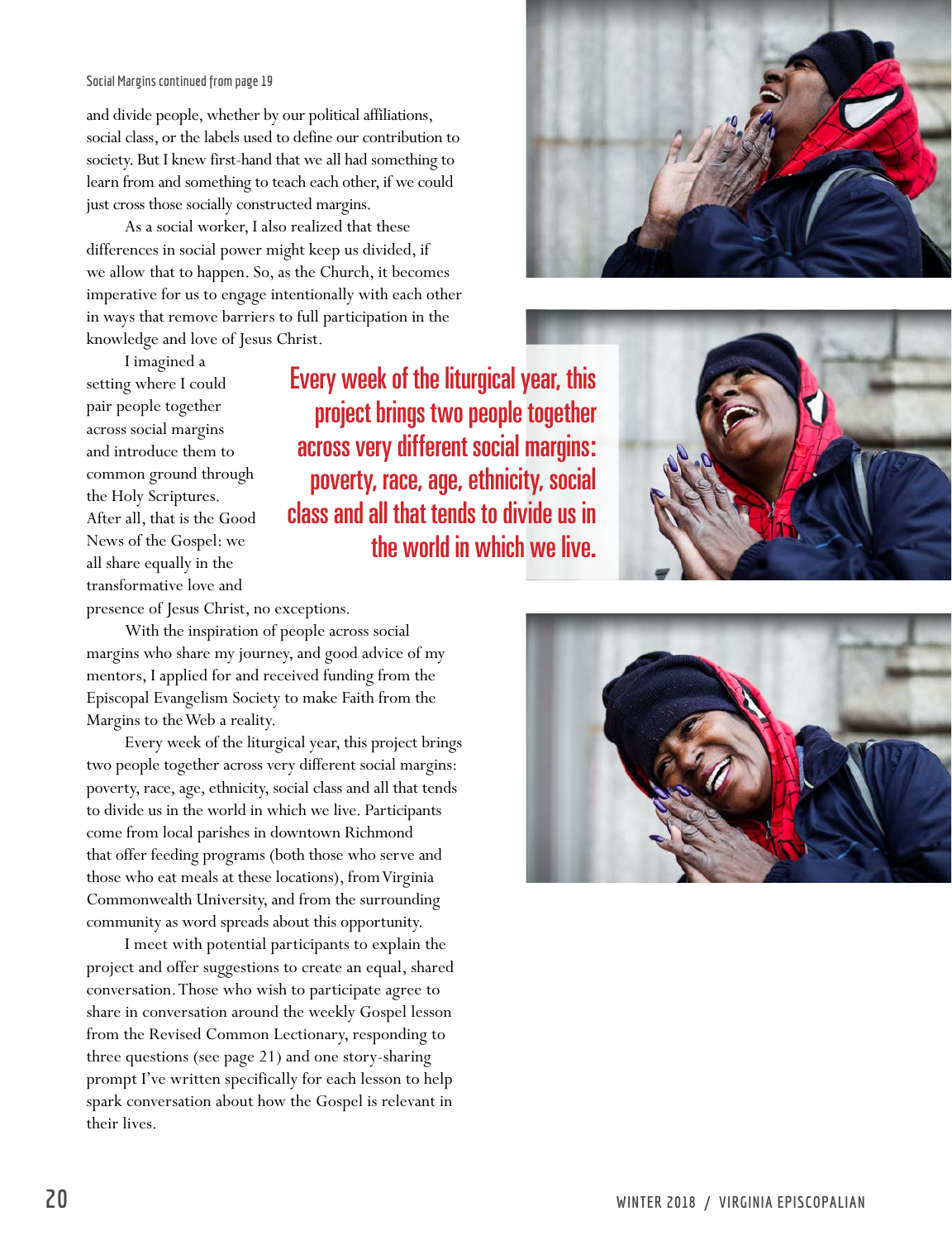#### **Social Margins continued from page 19**

and divide people, whether by our political affiliations, social class, or the labels used to define our contribution to society. But I knew first-hand that we all had something to learn from and something to teach each other, if we could just cross those socially constructed margins.

As a social worker, I also realized that these differences in social power might keep us divided, if we allow that to happen. So, as the Church, it becomes imperative for us to engage intentionally with each other in ways that remove barriers to full participation in the knowledge and love of Jesus Christ.



I imagined a setting where I could pair people together across social margins and introduce them to common ground through the Holy Scriptures. After all, that is the Good News of the Gospel: we all share equally in the transformative love and

Every week of the liturgical year, this project brings two people together across very different social margins: poverty, race, age, ethnicity, social class and all that tends to divide us in the world in which we live.



presence of Jesus Christ, no exceptions.

With the inspiration of people across social margins who share my journey, and good advice of my mentors, I applied for and received funding from the Episcopal Evangelism Society to make Faith from the Margins to the Web a reality.

Every week of the liturgical year, this project brings two people together across very different social margins: poverty, race, age, ethnicity, social class and all that tends to divide us in the world in which we live. Participants come from local parishes in downtown Richmond that offer feeding programs (both those who serve and those who eat meals at these locations), from Virginia Commonwealth University, and from the surrounding community as word spreads about this opportunity.

I meet with potential participants to explain the project and offer suggestions to create an equal, shared conversation. Those who wish to participate agree to share in conversation around the weekly Gospel lesson from the Revised Common Lectionary, responding to three questions (see page 21) and one story-sharing prompt I've written specifically for each lesson to help spark conversation about how the Gospel is relevant in their lives.

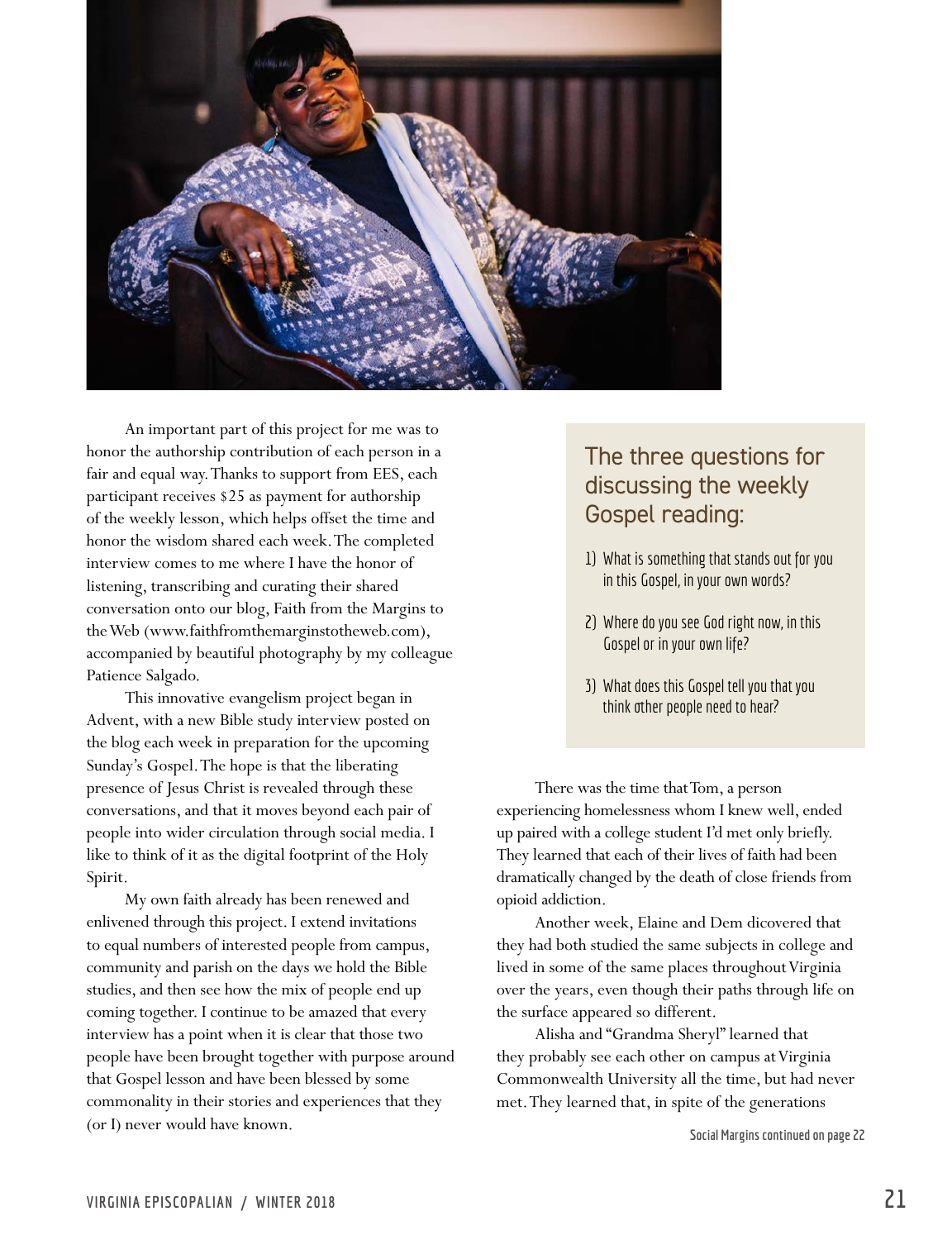

An important part of this project for me was to honor the authorship contribution of each person in a fair and equal way. Thanks to support from EES, each participant receives \$25 as payment for authorship of the weekly lesson, which helps offset the time and honor the wisdom shared each week. The completed interview comes to me where I have the honor of listening, transcribing and curating their shared conversation onto our blog, Faith from the Margins to the Web (www.faithfromthemarginstotheweb.com), accompanied by beautiful photography by my colleague Patience Salgado.

This innovative evangelism project began in Advent, with a new Bible study interview posted on the blog each week in preparation for the upcoming Sunday's Gospel. The hope is that the liberating presence of Jesus Christ is revealed through these conversations, and that it moves beyond each pair of people into wider circulation through social media. I like to think of it as the digital footprint of the Holy Spirit.

My own faith already has been renewed and enlivened through this project. I extend invitations to equal numbers of interested people from campus, community and parish on the days we hold the Bible studies, and then see how the mix of people end up coming together. I continue to be amazed that every interview has a point when it is clear that those two people have been brought together with purpose around that Gospel lesson and have been blessed by some commonality in their stories and experiences that they (or I) never would have known. **Social Margins continued on page 22**

### The three questions for discussing the weekly Gospel reading:

- 1) What is something that stands out for you in this Gospel, in your own words?
- 2) Where do you see God right now, in this Gospel or in your own life?
- 3) What does this Gospel tell you that you think other people need to hear?

There was the time that Tom, a person experiencing homelessness whom I knew well, ended up paired with a college student I'd met only briefly. They learned that each of their lives of faith had been dramatically changed by the death of close friends from opioid addiction.

Another week, Elaine and Dem dicovered that they had both studied the same subjects in college and lived in some of the same places throughout Virginia over the years, even though their paths through life on the surface appeared so different.

Alisha and "Grandma Sheryl" learned that they probably see each other on campus at Virginia Commonwealth University all the time, but had never met. They learned that, in spite of the generations